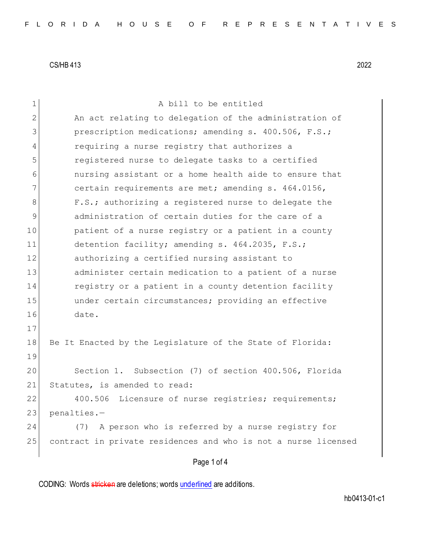| $\mathbf 1$   | A bill to be entitled                                          |
|---------------|----------------------------------------------------------------|
| 2             | An act relating to delegation of the administration of         |
| 3             | prescription medications; amending s. 400.506, F.S.;           |
| 4             | requiring a nurse registry that authorizes a                   |
| 5             | registered nurse to delegate tasks to a certified              |
| 6             | nursing assistant or a home health aide to ensure that         |
| 7             | certain requirements are met; amending s. 464.0156,            |
| 8             | F.S.; authorizing a registered nurse to delegate the           |
| $\mathcal{G}$ | administration of certain duties for the care of a             |
| 10            | patient of a nurse registry or a patient in a county           |
| 11            | detention facility; amending s. 464.2035, F.S.;                |
| 12            | authorizing a certified nursing assistant to                   |
| 13            | administer certain medication to a patient of a nurse          |
| 14            | registry or a patient in a county detention facility           |
| 15            | under certain circumstances; providing an effective            |
| 16            | date.                                                          |
| 17            |                                                                |
| 18            | Be It Enacted by the Legislature of the State of Florida:      |
| 19            |                                                                |
| 20            | Section 1. Subsection (7) of section 400.506, Florida          |
| 21            | Statutes, is amended to read:                                  |
| 22            | 400.506<br>Licensure of nurse registries; requirements;        |
| 23            | penalties.-                                                    |
| 24            | A person who is referred by a nurse registry for<br>(7)        |
| 25            | contract in private residences and who is not a nurse licensed |
|               | Page 1 of 4                                                    |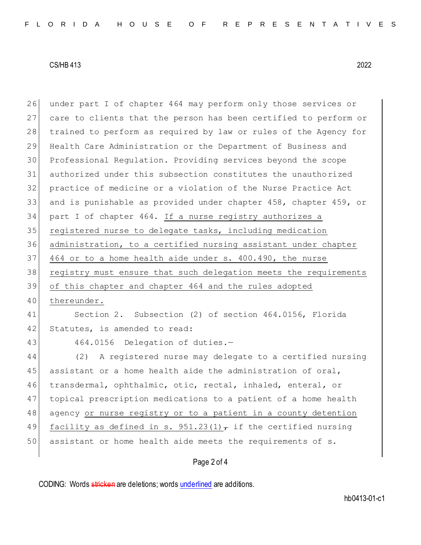| 26 | under part I of chapter 464 may perform only those services or   |
|----|------------------------------------------------------------------|
| 27 | care to clients that the person has been certified to perform or |
| 28 | trained to perform as required by law or rules of the Agency for |
| 29 | Health Care Administration or the Department of Business and     |
| 30 | Professional Regulation. Providing services beyond the scope     |
| 31 | authorized under this subsection constitutes the unauthorized    |
| 32 | practice of medicine or a violation of the Nurse Practice Act    |
| 33 | and is punishable as provided under chapter 458, chapter 459, or |
| 34 | part I of chapter 464. If a nurse registry authorizes a          |
| 35 | registered nurse to delegate tasks, including medication         |
| 36 | administration, to a certified nursing assistant under chapter   |
| 37 | 464 or to a home health aide under s. 400.490, the nurse         |
| 38 | registry must ensure that such delegation meets the requirements |
|    |                                                                  |
| 39 | of this chapter and chapter 464 and the rules adopted            |
| 40 | thereunder.                                                      |
| 41 | Section 2. Subsection (2) of section 464.0156, Florida           |
| 42 | Statutes, is amended to read:                                    |
| 43 | 464.0156 Delegation of duties.-                                  |
| 44 | A registered nurse may delegate to a certified nursing<br>(2)    |
| 45 | assistant or a home health aide the administration of oral,      |
| 46 | transdermal, ophthalmic, otic, rectal, inhaled, enteral, or      |
| 47 | topical prescription medications to a patient of a home health   |
| 48 | agency or nurse registry or to a patient in a county detention   |
| 49 | facility as defined in s. $951.23(1)$ , if the certified nursing |
| 50 | assistant or home health aide meets the requirements of s.       |

## Page 2 of 4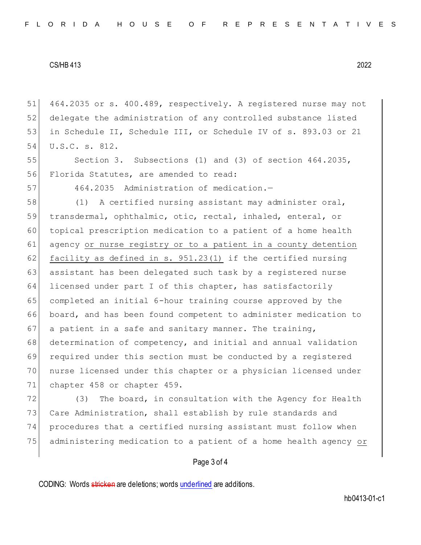464.2035 or s. 400.489, respectively. A registered nurse may not delegate the administration of any controlled substance listed in Schedule II, Schedule III, or Schedule IV of s. 893.03 or 21 U.S.C. s. 812.

55 Section 3. Subsections (1) and (3) of section 464.2035, Florida Statutes, are amended to read:

464.2035 Administration of medication.—

 (1) A certified nursing assistant may administer oral, transdermal, ophthalmic, otic, rectal, inhaled, enteral, or topical prescription medication to a patient of a home health agency or nurse registry or to a patient in a county detention 62 facility as defined in s. 951.23(1) if the certified nursing assistant has been delegated such task by a registered nurse licensed under part I of this chapter, has satisfactorily 65 completed an initial 6-hour training course approved by the board, and has been found competent to administer medication to 67 a patient in a safe and sanitary manner. The training, determination of competency, and initial and annual validation required under this section must be conducted by a registered nurse licensed under this chapter or a physician licensed under chapter 458 or chapter 459.

72 (3) The board, in consultation with the Agency for Health 73 Care Administration, shall establish by rule standards and procedures that a certified nursing assistant must follow when administering medication to a patient of a home health agency or

## Page 3 of 4